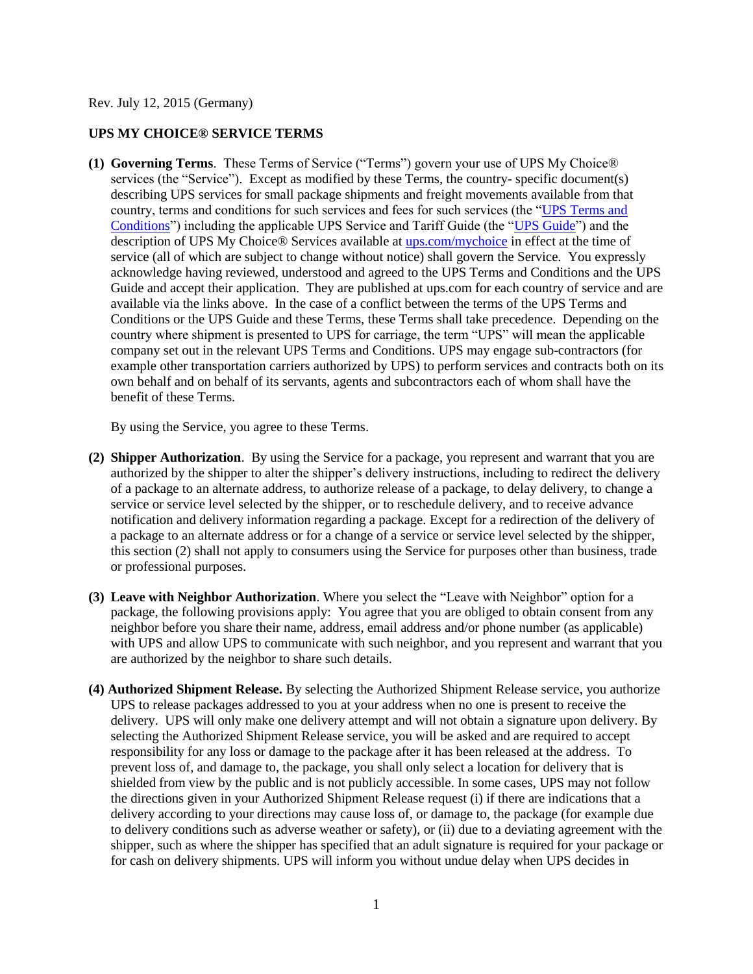Rev. July 12, 2015 (Germany)

## **UPS MY CHOICE® SERVICE TERMS**

**(1) Governing Terms**. These Terms of Service ("Terms") govern your use of UPS My Choice® services (the "Service"). Except as modified by these Terms, the country- specific document(s) describing UPS services for small package shipments and freight movements available from that country, terms and conditions for such services and fees for such services (the ["UPS Terms and](http://www.ups.com/content/de/en/resources/ship/terms/shipping/index.html?WT.svl=Footer)  [Conditions"](http://www.ups.com/content/de/en/resources/ship/terms/shipping/index.html?WT.svl=Footer)) including the applicable UPS Service and Tariff Guide (the ["UPS Guide"](http://www.ups.com/content/de/en/shipping/cost/zones/index.html)) and the description of UPS My Choice® Services available at [ups.com/mychoice](http://www.ups.com/content/de/en/tracking/ups_mychoice.html) in effect at the time of service (all of which are subject to change without notice) shall govern the Service. You expressly acknowledge having reviewed, understood and agreed to the UPS Terms and Conditions and the UPS Guide and accept their application. They are published at ups.com for each country of service and are available via the links above. In the case of a conflict between the terms of the UPS Terms and Conditions or the UPS Guide and these Terms, these Terms shall take precedence. Depending on the country where shipment is presented to UPS for carriage, the term "UPS" will mean the applicable company set out in the relevant UPS Terms and Conditions. UPS may engage sub-contractors (for example other transportation carriers authorized by UPS) to perform services and contracts both on its own behalf and on behalf of its servants, agents and subcontractors each of whom shall have the benefit of these Terms.

By using the Service, you agree to these Terms.

- **(2) Shipper Authorization**. By using the Service for a package, you represent and warrant that you are authorized by the shipper to alter the shipper's delivery instructions, including to redirect the delivery of a package to an alternate address, to authorize release of a package, to delay delivery, to change a service or service level selected by the shipper, or to reschedule delivery, and to receive advance notification and delivery information regarding a package. Except for a redirection of the delivery of a package to an alternate address or for a change of a service or service level selected by the shipper. this section (2) shall not apply to consumers using the Service for purposes other than business, trade or professional purposes.
- **(3) Leave with Neighbor Authorization**. Where you select the "Leave with Neighbor" option for a package, the following provisions apply: You agree that you are obliged to obtain consent from any neighbor before you share their name, address, email address and/or phone number (as applicable) with UPS and allow UPS to communicate with such neighbor, and you represent and warrant that you are authorized by the neighbor to share such details.
- **(4) Authorized Shipment Release.** By selecting the Authorized Shipment Release service, you authorize UPS to release packages addressed to you at your address when no one is present to receive the delivery. UPS will only make one delivery attempt and will not obtain a signature upon delivery. By selecting the Authorized Shipment Release service, you will be asked and are required to accept responsibility for any loss or damage to the package after it has been released at the address. To prevent loss of, and damage to, the package, you shall only select a location for delivery that is shielded from view by the public and is not publicly accessible. In some cases, UPS may not follow the directions given in your Authorized Shipment Release request (i) if there are indications that a delivery according to your directions may cause loss of, or damage to, the package (for example due to delivery conditions such as adverse weather or safety), or (ii) due to a deviating agreement with the shipper, such as where the shipper has specified that an adult signature is required for your package or for cash on delivery shipments. UPS will inform you without undue delay when UPS decides in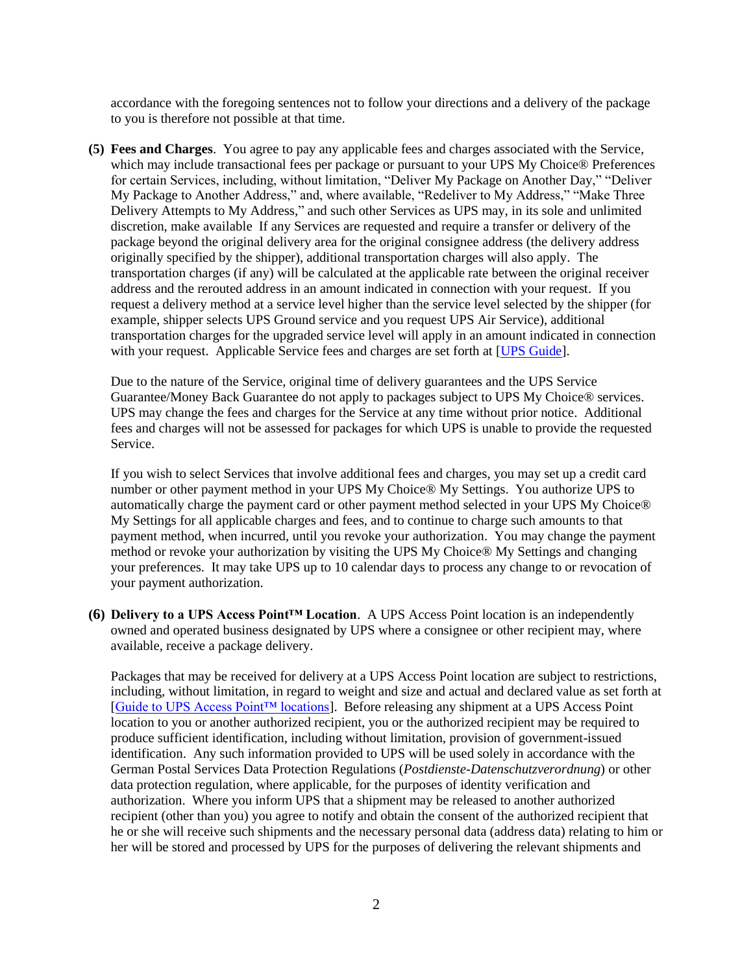accordance with the foregoing sentences not to follow your directions and a delivery of the package to you is therefore not possible at that time.

**(5) Fees and Charges**. You agree to pay any applicable fees and charges associated with the Service, which may include transactional fees per package or pursuant to your UPS My Choice<sup>®</sup> Preferences for certain Services, including, without limitation, "Deliver My Package on Another Day," "Deliver My Package to Another Address," and, where available, "Redeliver to My Address," "Make Three Delivery Attempts to My Address," and such other Services as UPS may, in its sole and unlimited discretion, make available If any Services are requested and require a transfer or delivery of the package beyond the original delivery area for the original consignee address (the delivery address originally specified by the shipper), additional transportation charges will also apply. The transportation charges (if any) will be calculated at the applicable rate between the original receiver address and the rerouted address in an amount indicated in connection with your request. If you request a delivery method at a service level higher than the service level selected by the shipper (for example, shipper selects UPS Ground service and you request UPS Air Service), additional transportation charges for the upgraded service level will apply in an amount indicated in connection with your request. Applicable Service fees and charges are set forth at [\[UPS Guide\]](http://www.ups.com/content/de/en/shipping/cost/zones/index.html).

Due to the nature of the Service, original time of delivery guarantees and the UPS Service Guarantee/Money Back Guarantee do not apply to packages subject to UPS My Choice® services. UPS may change the fees and charges for the Service at any time without prior notice. Additional fees and charges will not be assessed for packages for which UPS is unable to provide the requested Service.

If you wish to select Services that involve additional fees and charges, you may set up a credit card number or other payment method in your UPS My Choice® My Settings. You authorize UPS to automatically charge the payment card or other payment method selected in your UPS My Choice® My Settings for all applicable charges and fees, and to continue to charge such amounts to that payment method, when incurred, until you revoke your authorization. You may change the payment method or revoke your authorization by visiting the UPS My Choice® My Settings and changing your preferences. It may take UPS up to 10 calendar days to process any change to or revocation of your payment authorization.

**(6) Delivery to a UPS Access Point™ Location**. A UPS Access Point location is an independently owned and operated business designated by UPS where a consignee or other recipient may, where available, receive a package delivery.

Packages that may be received for delivery at a UPS Access Point location are subject to restrictions, including, without limitation, in regard to weight and size and actual and declared value as set forth at [\[Guide to UPS Access Point™ locations\]](http://www.ups.com/accesspoint/). Before releasing any shipment at a UPS Access Point location to you or another authorized recipient, you or the authorized recipient may be required to produce sufficient identification, including without limitation, provision of government-issued identification. Any such information provided to UPS will be used solely in accordance with the German Postal Services Data Protection Regulations (*Postdienste-Datenschutzverordnung*) or other data protection regulation, where applicable, for the purposes of identity verification and authorization. Where you inform UPS that a shipment may be released to another authorized recipient (other than you) you agree to notify and obtain the consent of the authorized recipient that he or she will receive such shipments and the necessary personal data (address data) relating to him or her will be stored and processed by UPS for the purposes of delivering the relevant shipments and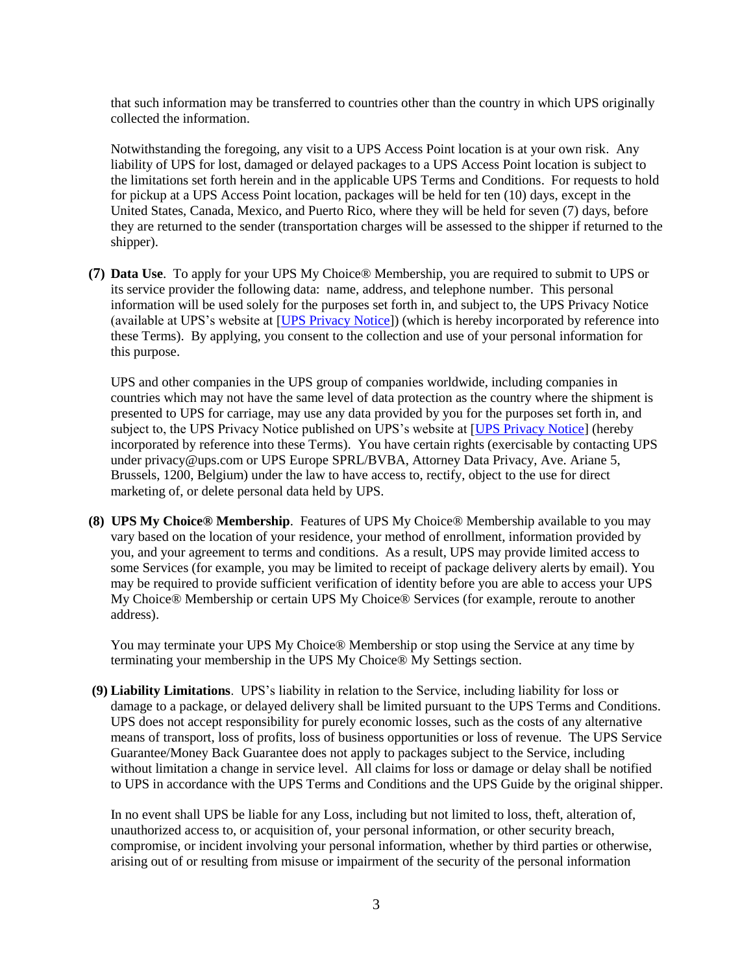that such information may be transferred to countries other than the country in which UPS originally collected the information.

Notwithstanding the foregoing, any visit to a UPS Access Point location is at your own risk. Any liability of UPS for lost, damaged or delayed packages to a UPS Access Point location is subject to the limitations set forth herein and in the applicable UPS Terms and Conditions. For requests to hold for pickup at a UPS Access Point location, packages will be held for ten (10) days, except in the United States, Canada, Mexico, and Puerto Rico, where they will be held for seven (7) days, before they are returned to the sender (transportation charges will be assessed to the shipper if returned to the shipper).

**(7) Data Use**. To apply for your UPS My Choice® Membership, you are required to submit to UPS or its service provider the following data: name, address, and telephone number. This personal information will be used solely for the purposes set forth in, and subject to, the UPS Privacy Notice (available at UPS's website at [\[UPS Privacy Notice\]](http://www.ups.com/content/de/en/resources/ship/terms/privacy.html)) (which is hereby incorporated by reference into these Terms). By applying, you consent to the collection and use of your personal information for this purpose.

UPS and other companies in the UPS group of companies worldwide, including companies in countries which may not have the same level of data protection as the country where the shipment is presented to UPS for carriage, may use any data provided by you for the purposes set forth in, and subject to, the UPS Privacy Notice published on UPS's website at [\[UPS Privacy Notice\]](http://www.ups.com/content/de/en/resources/ship/terms/privacy.html) (hereby incorporated by reference into these Terms). You have certain rights (exercisable by contacting UPS under privacy@ups.com or UPS Europe SPRL/BVBA, Attorney Data Privacy, Ave. Ariane 5, Brussels, 1200, Belgium) under the law to have access to, rectify, object to the use for direct marketing of, or delete personal data held by UPS.

**(8) UPS My Choice® Membership**. Features of UPS My Choice® Membership available to you may vary based on the location of your residence, your method of enrollment, information provided by you, and your agreement to terms and conditions. As a result, UPS may provide limited access to some Services (for example, you may be limited to receipt of package delivery alerts by email). You may be required to provide sufficient verification of identity before you are able to access your UPS My Choice® Membership or certain UPS My Choice® Services (for example, reroute to another address).

You may terminate your UPS My Choice® Membership or stop using the Service at any time by terminating your membership in the UPS My Choice® My Settings section.

**(9) Liability Limitations**. UPS's liability in relation to the Service, including liability for loss or damage to a package, or delayed delivery shall be limited pursuant to the UPS Terms and Conditions. UPS does not accept responsibility for purely economic losses, such as the costs of any alternative means of transport, loss of profits, loss of business opportunities or loss of revenue. The UPS Service Guarantee/Money Back Guarantee does not apply to packages subject to the Service, including without limitation a change in service level. All claims for loss or damage or delay shall be notified to UPS in accordance with the UPS Terms and Conditions and the UPS Guide by the original shipper.

In no event shall UPS be liable for any Loss, including but not limited to loss, theft, alteration of, unauthorized access to, or acquisition of, your personal information, or other security breach, compromise, or incident involving your personal information, whether by third parties or otherwise, arising out of or resulting from misuse or impairment of the security of the personal information